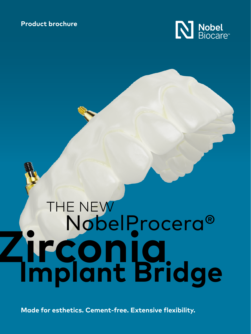### **Product brochure**



# NobelProcera® THE NEW **Implant Bridge Zirconia**

**Made for esthetics. Cement-free. Extensive flexibility.**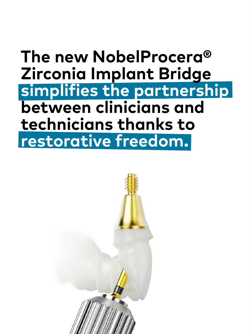## **The new NobelProcera® Zirconia Implant Bridge simplifies the partnership between clinicians and technicians thanks to restorative freedom.**

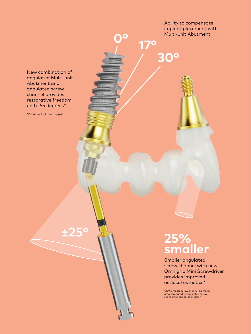Ability to compensate implant placement with Multi-unit Abutment

**30°**

**0° 17°**

New combination of angulated Multi-unit Abutment and angulated screw channel provides restorative freedom up to 55 degrees\*

\*Versus implant insertion axis

**±25° 25% smaller**

> Smaller angulated screw channel with new Omnigrip Mini Screwdriver provides improved occlusal esthetics\*

\*25% smaller screw channel diameter area compared to angulated screw channel for conical connection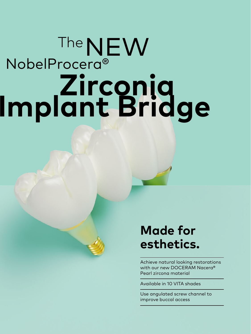# **Zirconia Implant Bridge** NobelProcera® The NEW

## **Made for esthetics.**

Achieve natural looking restorations with our new DOCERAM Nacera® Pearl zircona material

Available in 10 VITA shades

Use angulated screw channel to improve buccal access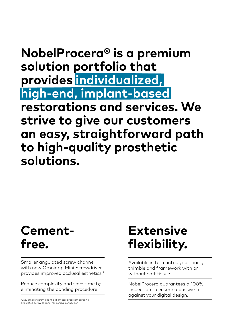## **NobelProcera® is a premium solution portfolio that provides individualized, high-end, implant-based restorations and services. We strive to give our customers an easy, straightforward path to high-quality prosthetic solutions.**

## **Cementfree.**

Smaller angulated screw channel with new Omnigrip Mini Screwdriver provides improved occlusal esthetics.\*

Reduce complexity and save time by eliminating the bonding procedure.

\*25% smaller screw channel diameter area compared to angulated screw channel for conical connection

## **Extensive flexibility.**

Available in full contour, cut-back, thimble and framework with or without soft tissue.

NobelProcera guarantees a 100% inspection to ensure a passive fit against your digital design.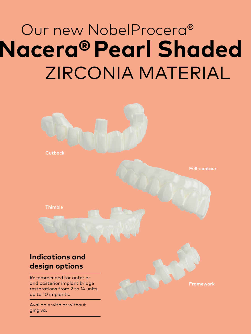## **Nacera®Pearl Shaded** Our new NobelProcera® ZIRCONIA MATERIAL



gingiva.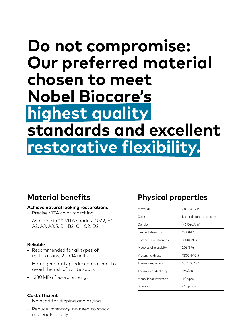## **Do not compromise: Our preferred material chosen to meet Nobel Biocare's highest quality standards and excellent restorative flexibility.**

### **Material benefits**

#### **Achieve natural looking restorations**

- Precise VITA color matching
- Available in 10 VITA shades: OM2, A1, A2, A3, A3.5, B1, B2, C1, C2, D2

### **Reliable**

- Recommended for all types of restorations, 2 to 14 units
- Homogeneously produced material to avoid the risk of white spots
- 1230 MPa flexural strength

### **Cost efficient**

- No need for dipping and drying
- Reduce inventory, no need to stock materials locally

### **Physical properties**

| Material              | ZrO <sub>2</sub> 3Y-TZP               |
|-----------------------|---------------------------------------|
| Color                 | Natural high translucent              |
| Density               | $> 6.04$ g/cm <sup>3</sup>            |
| Flexural strength     | 1230 MPa                              |
| Compressive strength  | 3000 MPa                              |
| Modulus of elasticity | $205$ GPa                             |
| Vickers hardness      | 1300 HV 0.5                           |
| Thermal expansion     | $10.7 \times 10^{-6}$ K <sup>-1</sup> |
| Thermal conductivity  | 2W/mK                                 |
| Mean linear intercept | < 0.4 µm                              |
| Solubility            | $<$ 10 µg/cm <sup>2</sup>             |